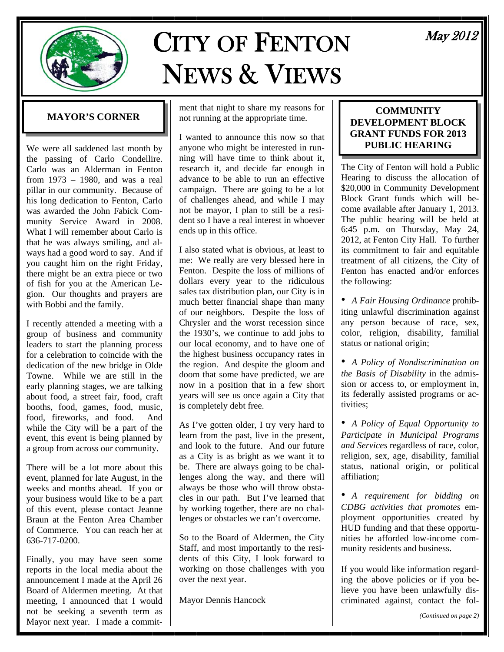

# CITY OF FENTON NEWS & VIEWS

# **MAYOR'S CORNER**

We were all saddened last month by the passing of Carlo Condellire. Carlo was an Alderman in Fenton from 1973 – 1980, and was a real pillar in our community. Because of his long dedication to Fenton, Carlo was awarded the John Fabick Community Service Award in 2008. What I will remember about Carlo is that he was always smiling, and always had a good word to say. And if you caught him on the right Friday, there might be an extra piece or two of fish for you at the American Legion. Our thoughts and prayers are with Bobbi and the family.

I recently attended a meeting with a group of business and community leaders to start the planning process for a celebration to coincide with the dedication of the new bridge in Olde Towne. While we are still in the early planning stages, we are talking about food, a street fair, food, craft booths, food, games, food, music, food, fireworks, and food. And while the City will be a part of the event, this event is being planned by a group from across our community.

There will be a lot more about this event, planned for late August, in the weeks and months ahead. If you or your business would like to be a part of this event, please contact Jeanne Braun at the Fenton Area Chamber of Commerce. You can reach her at 636-717-0200.

Finally, you may have seen some reports in the local media about the announcement I made at the April 26 Board of Aldermen meeting. At that meeting, I announced that I would not be seeking a seventh term as Mayor next year. I made a commitment that night to share my reasons for not running at the appropriate time.

I wanted to announce this now so that anyone who might be interested in running will have time to think about it, research it, and decide far enough in advance to be able to run an effective campaign. There are going to be a lot of challenges ahead, and while I may not be mayor, I plan to still be a resident so I have a real interest in whoever ends up in this office.

I also stated what is obvious, at least to me: We really are very blessed here in Fenton. Despite the loss of millions of dollars every year to the ridiculous sales tax distribution plan, our City is in much better financial shape than many of our neighbors. Despite the loss of Chrysler and the worst recession since the 1930's, we continue to add jobs to our local economy, and to have one of the highest business occupancy rates in the region. And despite the gloom and doom that some have predicted, we are now in a position that in a few short years will see us once again a City that is completely debt free.

As I've gotten older, I try very hard to learn from the past, live in the present, and look to the future. And our future as a City is as bright as we want it to be. There are always going to be challenges along the way, and there will always be those who will throw obstacles in our path. But I've learned that by working together, there are no challenges or obstacles we can't overcome.

So to the Board of Aldermen, the City Staff, and most importantly to the residents of this City, I look forward to working on those challenges with you over the next year.

Mayor Dennis Hancock

#### **COMMUNITY DEVELOPMENT BLOCK GRANT FUNDS FOR 2013 PUBLIC HEARING**

The City of Fenton will hold a Public Hearing to discuss the allocation of \$20,000 in Community Development Block Grant funds which will become available after January 1, 2013. The public hearing will be held at 6:45 p.m. on Thursday, May 24, 2012, at Fenton City Hall. To further its commitment to fair and equitable treatment of all citizens, the City of Fenton has enacted and/or enforces the following:

• *A Fair Housing Ordinance* prohibiting unlawful discrimination against any person because of race, sex, color, religion, disability, familial status or national origin;

• *A Policy of Nondiscrimination on the Basis of Disability* in the admission or access to, or employment in, its federally assisted programs or activities;

• *A Policy of Equal Opportunity to Participate in Municipal Programs and Services* regardless of race, color, religion, sex, age, disability, familial status, national origin, or political affiliation;

• *A requirement for bidding on CDBG activities that promotes* employment opportunities created by HUD funding and that these opportunities be afforded low-income community residents and business.

If you would like information regarding the above policies or if you believe you have been unlawfully discriminated against, contact the fol-

# May 2012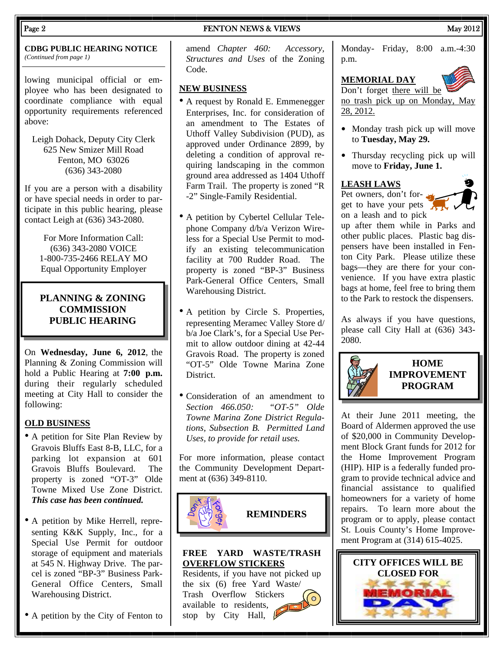#### Page 2 **FENTON NEWS & VIEWS** May 2012

#### **CDBG PUBLIC HEARING NOTICE**  *(Continued from page 1)*

lowing municipal official or employee who has been designated to coordinate compliance with equal opportunity requirements referenced above:

Leigh Dohack, Deputy City Clerk 625 New Smizer Mill Road Fenton, MO 63026 (636) 343-2080

If you are a person with a disability or have special needs in order to participate in this public hearing, please contact Leigh at (636) 343-2080.

> For More Information Call: (636) 343-2080 VOICE 1-800-735-2466 RELAY MO Equal Opportunity Employer

## **PLANNING & ZONING COMMISSION PUBLIC HEARING**

On **Wednesday, June 6, 2012**, the Planning & Zoning Commission will hold a Public Hearing at **7:00 p.m.**  during their regularly scheduled meeting at City Hall to consider the following:

#### **OLD BUSINESS**

- A petition for Site Plan Review by Gravois Bluffs East 8-B, LLC, for a parking lot expansion at 601 Gravois Bluffs Boulevard. The property is zoned "OT-3" Olde Towne Mixed Use Zone District. *This case has been continued.*
- A petition by Mike Herrell, representing K&K Supply, Inc., for a Special Use Permit for outdoor storage of equipment and materials at 545 N. Highway Drive. The parcel is zoned "BP-3" Business Park-General Office Centers, Small Warehousing District.
- A petition by the City of Fenton to

amend *Chapter 460: Accessory, Structures and Uses* of the Zoning Code.

#### **NEW BUSINESS**

- A request by Ronald E. Emmenegger Enterprises, Inc. for consideration of an amendment to The Estates of Uthoff Valley Subdivision (PUD), as approved under Ordinance 2899, by deleting a condition of approval requiring landscaping in the common ground area addressed as 1404 Uthoff Farm Trail. The property is zoned "R -2" Single-Family Residential.
- A petition by Cybertel Cellular Telephone Company d/b/a Verizon Wireless for a Special Use Permit to modify an existing telecommunication facility at 700 Rudder Road. The property is zoned "BP-3" Business Park-General Office Centers, Small Warehousing District.
- A petition by Circle S. Properties, representing Meramec Valley Store d/ b/a Joe Clark's, for a Special Use Permit to allow outdoor dining at 42-44 Gravois Road. The property is zoned "OT-5" Olde Towne Marina Zone **District**
- Consideration of an amendment to *Section 466.050: "OT-5" Olde Towne Marina Zone District Regulations, Subsection B. Permitted Land Uses, to provide for retail uses.*

For more information, please contact the Community Development Department at (636) 349-8110.



**REMINDERS** 

#### **FREE YARD WASTE/TRASH OVERFLOW STICKERS**

Residents, if you have not picked up the six (6) free Yard Waste/ Trash Overflow Stickers  $\circ$ available to residents, stop by City Hall,  $\oint$ 

Monday- Friday, 8:00 a.m.-4:30 p.m.

# **MEMORIAL DAY**



Don't forget there will be no trash pick up on Monday, May 28, 2012.

- Monday trash pick up will move to **Tuesday, May 29.**
- Thursday recycling pick up will move to **Friday, June 1.**

#### **LEASH LAWS**

Pet owners, don't forget to have your pets on a leash and to pick



up after them while in Parks and other public places. Plastic bag dispensers have been installed in Fenton City Park. Please utilize these bags—they are there for your convenience. If you have extra plastic bags at home, feel free to bring them to the Park to restock the dispensers.

As always if you have questions, please call City Hall at (636) 343- 2080.



At their June 2011 meeting, the Board of Aldermen approved the use of \$20,000 in Community Development Block Grant funds for 2012 for the Home Improvement Program (HIP). HIP is a federally funded program to provide technical advice and financial assistance to qualified homeowners for a variety of home repairs. To learn more about the program or to apply, please contact St. Louis County's Home Improvement Program at (314) 615-4025.

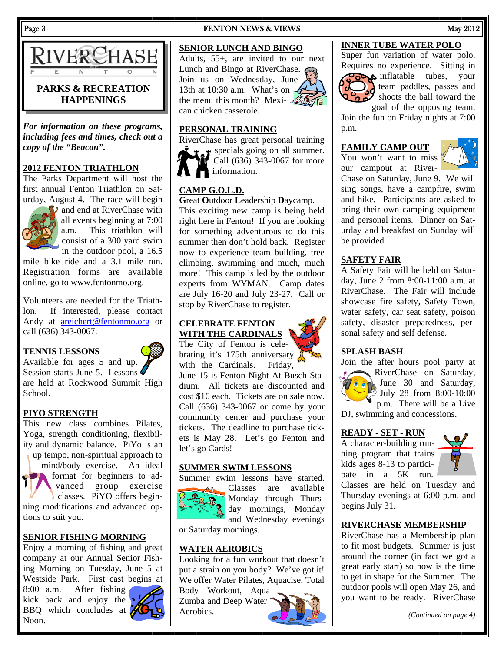

*For information on these programs, including fees and times, check out a copy of the "Beacon".* 

#### **2012 FENTON TRIATHLON**

The Parks Department will host the first annual Fenton Triathlon on Saturday, August 4. The race will begin



**D** and end at RiverChase with all events beginning at 7:00 a.m. This triathlon will consist of a 300 yard swim in the outdoor pool, a 16.5

mile bike ride and a 3.1 mile run. Registration forms are available online, go to www.fentonmo.org.

Volunteers are needed for the Triathlon. If interested, please contact Andy at areichert@fentonmo.org or call (636) 343-0067.

#### **TENNIS LESSONS**



Session starts June 5. Lessons are held at Rockwood Summit High School.

#### **PIYO STRENGTH**

This new class combines Pilates, Yoga, strength conditioning, flexibility and dynamic balance. PiYo is an up tempo, non-spiritual approach to

mind/body exercise. An ideal format for beginners to advanced group exercise classes. PiYO offers beginning modifications and advanced options to suit you.

#### **SENIOR FISHING MORNING**

Enjoy a morning of fishing and great company at our Annual Senior Fishing Morning on Tuesday, June 5 at Westside Park. First cast begins at

8:00 a.m. After fishing kick back and enjoy the BBQ which concludes at Noon.



#### Page 3 **FENTON NEWS & VIEWS** May 2012

#### **SENIOR LUNCH AND BINGO**

Adults, 55+, are invited to our next Lunch and Bingo at RiverChase.  $\epsilon$ Join us on Wednesday, June 13th at 10:30 a.m. What's on  $-\ell$ the menu this month? Mexi- $\mathcal{L}$ can chicken casserole.



#### **PERSONAL TRAINING**

RiverChase has great personal training  $\bullet$  specials going on all summer. Call (636) 343-0067 for more **information.** 

## **CAMP G.O.L.D.**

**G**reat **O**utdoor **L**eadership **D**aycamp. This exciting new camp is being held right here in Fenton! If you are looking for something adventurous to do this summer then don't hold back. Register now to experience team building, tree climbing, swimming and much, much more! This camp is led by the outdoor experts from WYMAN. Camp dates are July 16-20 and July 23-27. Call or stop by RiverChase to register.

#### **CELEBRATE FENTON WITH THE CARDINALS**

The City of Fenton is celebrating it's 175th anniversary with the Cardinals. Friday,

June 15 is Fenton Night At Busch Stadium. All tickets are discounted and cost \$16 each. Tickets are on sale now. Call (636) 343-0067 or come by your community center and purchase your tickets. The deadline to purchase tickets is May 28. Let's go Fenton and let's go Cards!

#### **SUMMER SWIM LESSONS**

Summer swim lessons have started.



Classes are available Monday through Thursday mornings, Monday and Wednesday evenings

or Saturday mornings.

#### **WATER AEROBICS**

Looking for a fun workout that doesn't put a strain on you body? We've got it! We offer Water Pilates, Aquacise, Total

Body Workout, Aqua Zumba and Deep Water Aerobics.



#### **INNER TUBE WATER POLO**

Super fun variation of water polo. Requires no experience. Sitting in



 $\overline{\text{code}}$  inflatable tubes, your  $\sum$  team paddles, passes and shoots the ball toward the goal of the opposing team.

Join the fun on Friday nights at 7:00 p.m.

#### **FAMILY CAMP OUT**

You won't want to miss our campout at River-



Chase on Saturday, June 9. We will sing songs, have a campfire, swim and hike. Participants are asked to bring their own camping equipment and personal items. Dinner on Saturday and breakfast on Sunday will be provided.

#### **SAFETY FAIR**

A Safety Fair will be held on Saturday, June 2 from 8:00-11:00 a.m. at RiverChase. The Fair will include showcase fire safety, Safety Town, water safety, car seat safety, poison safety, disaster preparedness, personal safety and self defense.

#### **SPLASH BASH**

Join the after hours pool party at RiverChase on Saturday, June 30 and Saturday, July 28 from 8:00-10:00

p.m. There will be a Live DJ, swimming and concessions.

#### **READY - SET - RUN**

A character-building running program that trains kids ages 8-13 to participate in a 5K run.



Classes are held on Tuesday and Thursday evenings at 6:00 p.m. and begins July 31.

#### **RIVERCHASE MEMBERSHIP**

RiverChase has a Membership plan to fit most budgets. Summer is just around the corner (in fact we got a great early start) so now is the time to get in shape for the Summer. The outdoor pools will open May 26, and you want to be ready. RiverChase

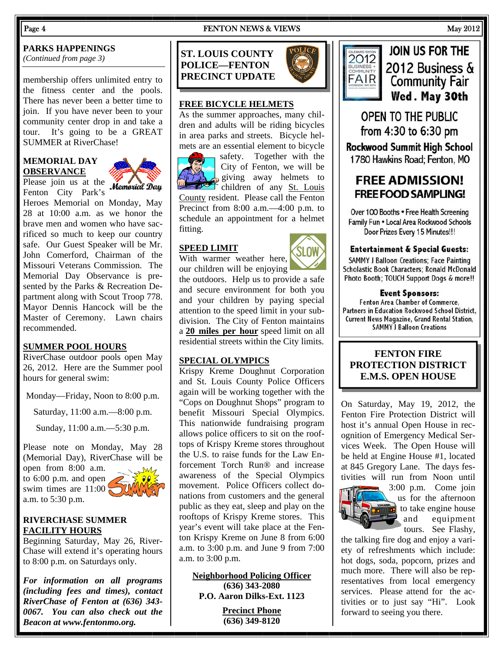#### Page 4 **FENTON NEWS & VIEWS** May 2012

#### **PARKS HAPPENINGS**

*(Continued from page 3)* 

membership offers unlimited entry to the fitness center and the pools. There has never been a better time to join. If you have never been to your community center drop in and take a tour. It's going to be a GREAT SUMMER at RiverChase!

#### **MEMORIAL DAY OBSERVANCE**



Please join us at the *Memorial Day* Fenton City Park's

Heroes Memorial on Monday, May 28 at 10:00 a.m. as we honor the brave men and women who have sacrificed so much to keep our country safe. Our Guest Speaker will be Mr. John Comerford, Chairman of the Missouri Veterans Commission. The Memorial Day Observance is presented by the Parks & Recreation Department along with Scout Troop 778. Mayor Dennis Hancock will be the Master of Ceremony. Lawn chairs recommended.

#### **SUMMER POOL HOURS**

RiverChase outdoor pools open May 26, 2012. Here are the Summer pool hours for general swim:

Monday—Friday, Noon to 8:00 p.m.

Saturday, 11:00 a.m.—8:00 p.m.

Sunday, 11:00 a.m.—5:30 p.m.

Please note on Monday, May 28 (Memorial Day), RiverChase will be

open from 8:00 a.m. to 6:00 p.m. and open swim times are  $11:00$ a.m. to 5:30 p.m.



#### **RIVERCHASE SUMMER FACILITY HOURS**

Beginning Saturday, May 26, River-Chase will extend it's operating hours to 8:00 p.m. on Saturdays only.

*For information on all programs (including fees and times), contact RiverChase of Fenton at (636) 343- 0067. You can also check out the Beacon at www.fentonmo.org.*

**ST. LOUIS COUNTY POLICE—FENTON PRECINCT UPDATE** 



#### **FREE BICYCLE HELMETS**

As the summer approaches, many children and adults will be riding bicycles in area parks and streets. Bicycle helmets are an essential element to bicycle



safety. Together with the City of Fenton, we will be giving away helmets to children of any St. Louis County resident. Please call the Fenton

Precinct from 8:00 a.m.—4:00 p.m. to schedule an appointment for a helmet fitting.

#### **SPEED LIMIT**

With warmer weather here,



our children will be enjoying the outdoors. Help us to provide a safe and secure environment for both you and your children by paying special attention to the speed limit in your subdivision. The City of Fenton maintains a **20 miles per hour** speed limit on all residential streets within the City limits.

#### **SPECIAL OLYMPICS**

Krispy Kreme Doughnut Corporation and St. Louis County Police Officers again will be working together with the "Cops on Doughnut Shops" program to benefit Missouri Special Olympics. This nationwide fundraising program allows police officers to sit on the rooftops of Krispy Kreme stores throughout the U.S. to raise funds for the Law Enforcement Torch Run® and increase awareness of the Special Olympics movement. Police Officers collect donations from customers and the general public as they eat, sleep and play on the rooftops of Krispy Kreme stores. This year's event will take place at the Fenton Krispy Kreme on June 8 from 6:00 a.m. to 3:00 p.m. and June 9 from 7:00 a.m. to 3:00 p.m.

**Neighborhood Policing Officer (636) 343-2080 P.O. Aaron Dilks-Ext. 1123** 

> **Precinct Phone (636) 349-8120**



# **JOIN US FOR THE** 2012 Business  $\delta$ **Community Fair** Wed. May 30th

**OPEN TO THE PUBLIC** from 4:30 to 6:30 pm

**Rockwood Summit High School** 1780 Hawkins Road: Fenton, MO

# **FREE ADMISSION! FREE FOOD SAMPLING!**

Over 100 Booths . Free Health Screening Family Fun . Local Area Rockwood Schools Door Prizes Every 15 Minutes!!!

#### **Entertainment & Special Guests:**

**SAMMY J Balloon Creations: Face Painting** Scholastic Book Characters: Ronald McDonald Photo Booth; TOUCH Support Dogs & more!!

#### **Event Sponsors:**

Fenton Area Chamber of Commerce, Partners in Education Rockwood School District, **Current News Magazine, Grand Rental Station, SAMMY J Balloon Creations** 

#### **FENTON FIRE PROTECTION DISTRICT E.M.S. OPEN HOUSE**

On Saturday, May 19, 2012, the Fenton Fire Protection District will host it's annual Open House in recognition of Emergency Medical Services Week. The Open House will be held at Engine House #1, located at 845 Gregory Lane. The days festivities will run from Noon until



3:00 p.m. Come join us for the afternoon to take engine house and equipment tours. See Flashy,

the talking fire dog and enjoy a variety of refreshments which include: hot dogs, soda, popcorn, prizes and much more. There will also be representatives from local emergency services. Please attend for the activities or to just say "Hi". Look forward to seeing you there.

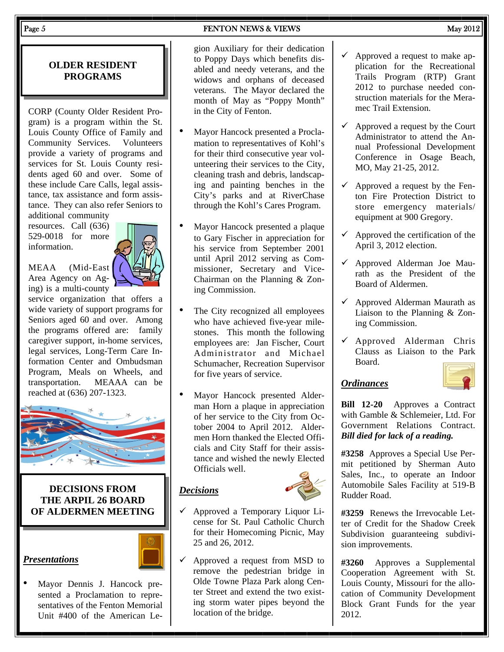#### Page  $5$  May 2012

## **OLDER RESIDENT PROGRAMS**

CORP (County Older Resident Program) is a program within the St. Louis County Office of Family and Community Services. Volunteers provide a variety of programs and services for St. Louis County residents aged 60 and over. Some of these include Care Calls, legal assistance, tax assistance and form assistance. They can also refer Seniors to additional community

resources. Call (636) 529-0018 for more information.



MEAA (Mid-East Area Agency on Aging) is a multi-county

service organization that offers a wide variety of support programs for Seniors aged 60 and over. Among the programs offered are: family caregiver support, in-home services, legal services, Long-Term Care Information Center and Ombudsman Program, Meals on Wheels, and transportation. MEAAA can be reached at (636) 207-1323.



#### **DECISIONS FROM THE ARPIL 26 BOARD OF ALDERMEN MEETING**

# *Presentations*



• Mayor Dennis J. Hancock presented a Proclamation to representatives of the Fenton Memorial Unit #400 of the American Legion Auxiliary for their dedication to Poppy Days which benefits disabled and needy veterans, and the widows and orphans of deceased veterans. The Mayor declared the month of May as "Poppy Month" in the City of Fenton.

- Mayor Hancock presented a Proclamation to representatives of Kohl's for their third consecutive year volunteering their services to the City, cleaning trash and debris, landscaping and painting benches in the City's parks and at RiverChase through the Kohl's Cares Program.
- Mayor Hancock presented a plaque to Gary Fischer in appreciation for his service from September 2001 until April 2012 serving as Commissioner, Secretary and Vice-Chairman on the Planning & Zoning Commission.
- The City recognized all employees who have achieved five-year milestones. This month the following employees are: Jan Fischer, Court Administrator and Michael Schumacher, Recreation Supervisor for five years of service.
- Mayor Hancock presented Alderman Horn a plaque in appreciation of her service to the City from October 2004 to April 2012. Aldermen Horn thanked the Elected Officials and City Staff for their assistance and wished the newly Elected Officials well.

#### *Decisions*



- $\checkmark$  Approved a Temporary Liquor License for St. Paul Catholic Church for their Homecoming Picnic, May 25 and 26, 2012.
- $\checkmark$  Approved a request from MSD to remove the pedestrian bridge in Olde Towne Plaza Park along Center Street and extend the two existing storm water pipes beyond the location of the bridge.
- $\checkmark$  Approved a request to make application for the Recreational Trails Program (RTP) Grant 2012 to purchase needed construction materials for the Meramec Trail Extension.
- $\checkmark$  Approved a request by the Court Administrator to attend the Annual Professional Development Conference in Osage Beach, MO, May 21-25, 2012.
- $\checkmark$  Approved a request by the Fenton Fire Protection District to store emergency materials/ equipment at 900 Gregory.
- $\checkmark$  Approved the certification of the April 3, 2012 election.
- $\checkmark$  Approved Alderman Joe Maurath as the President of the Board of Aldermen.
- $\checkmark$  Approved Alderman Maurath as Liaison to the Planning & Zoning Commission.
- $\checkmark$  Approved Alderman Chris Clauss as Liaison to the Park Board.

## *Ordinances*

**Bill 12-20** Approves a Contract with Gamble & Schlemeier, Ltd. For Government Relations Contract. *Bill died for lack of a reading.* 

**#3258** Approves a Special Use Permit petitioned by Sherman Auto Sales, Inc., to operate an Indoor Automobile Sales Facility at 519-B Rudder Road.

**#3259** Renews the Irrevocable Letter of Credit for the Shadow Creek Subdivision guaranteeing subdivision improvements.

**#3260** Approves a Supplemental Cooperation Agreement with St. Louis County, Missouri for the allocation of Community Development Block Grant Funds for the year 2012.